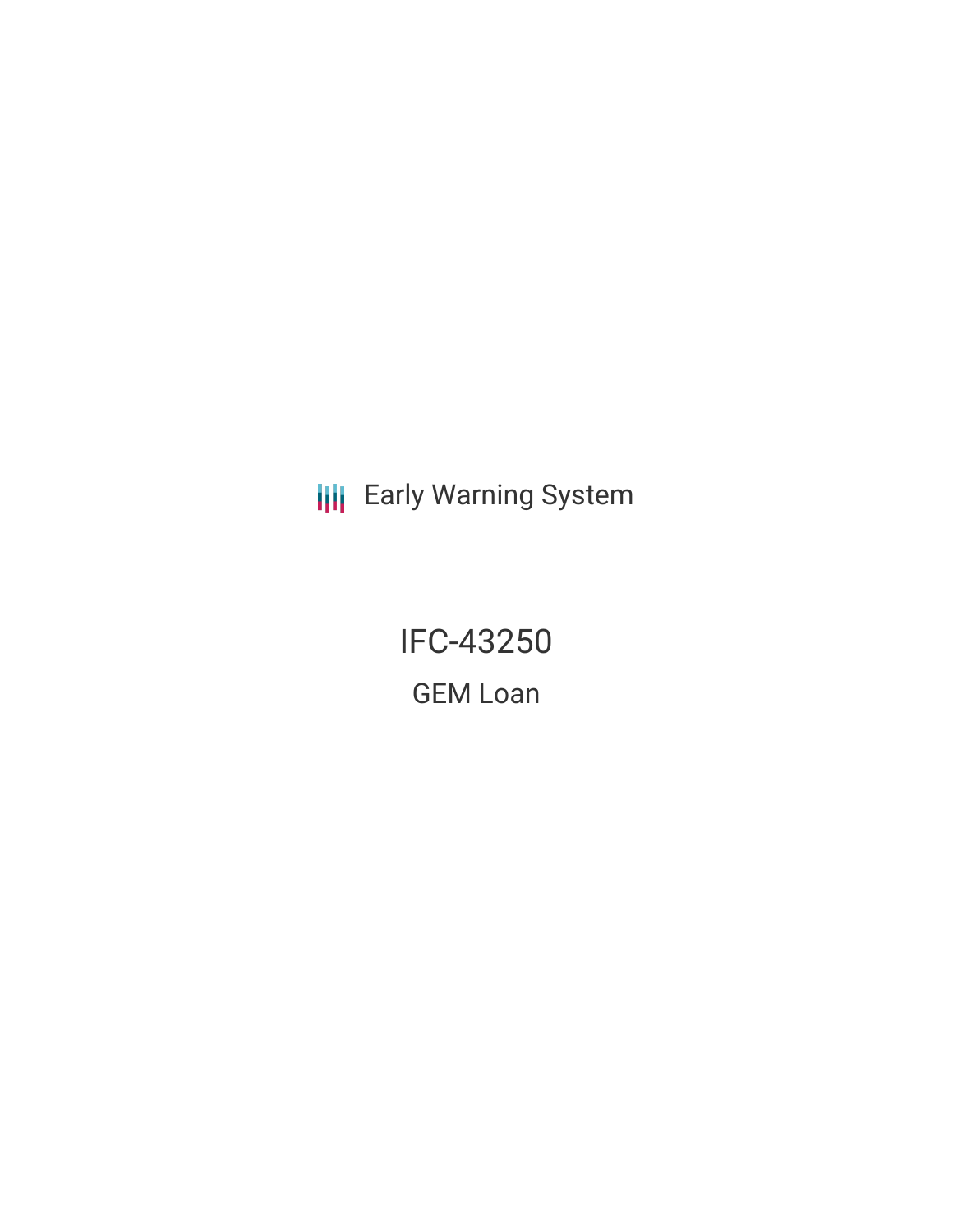**III** Early Warning System

IFC-43250 GEM Loan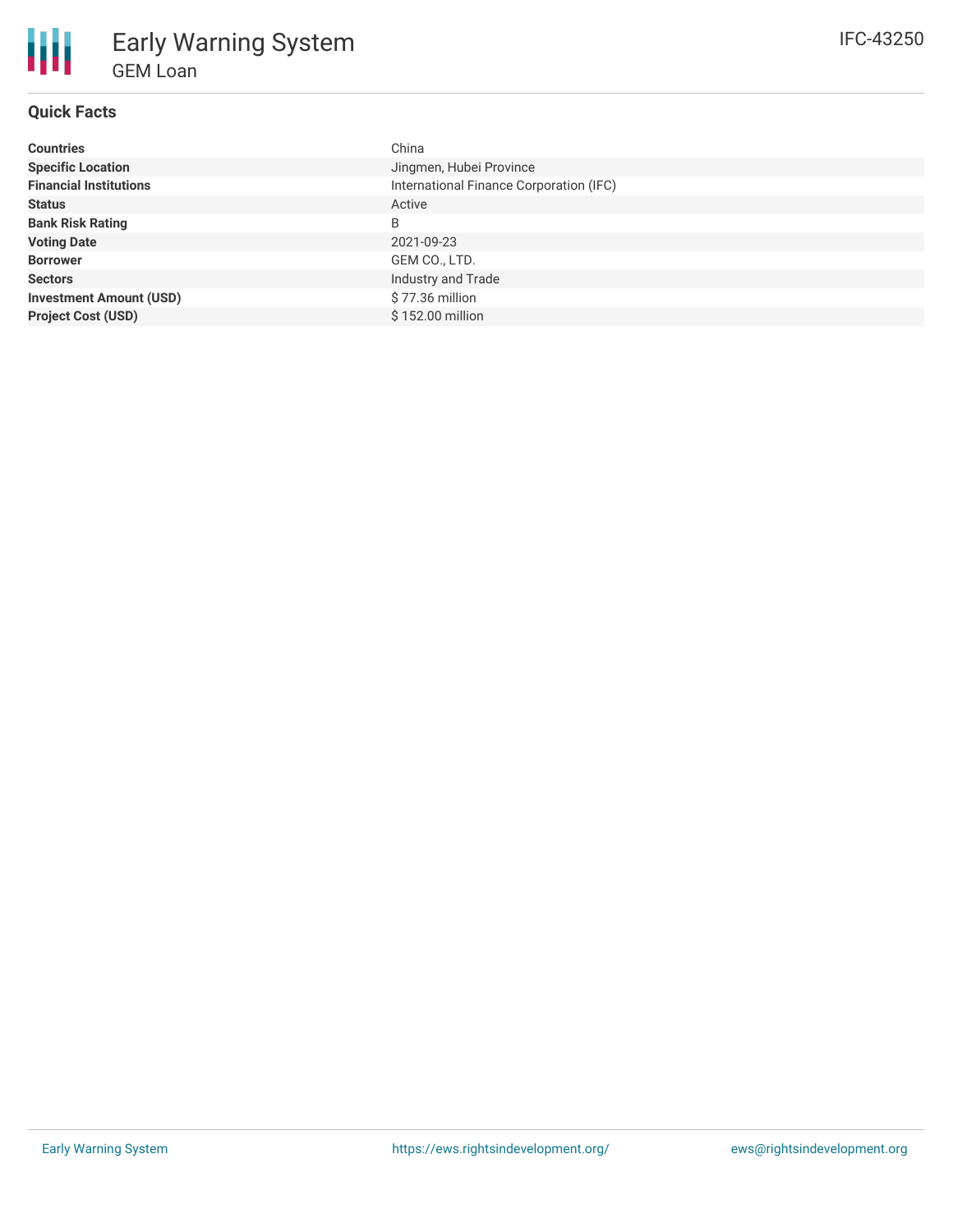# **Quick Facts**

| <b>Countries</b>               | China                                   |
|--------------------------------|-----------------------------------------|
| <b>Specific Location</b>       | Jingmen, Hubei Province                 |
| <b>Financial Institutions</b>  | International Finance Corporation (IFC) |
| <b>Status</b>                  | Active                                  |
| <b>Bank Risk Rating</b>        | B                                       |
| <b>Voting Date</b>             | 2021-09-23                              |
| <b>Borrower</b>                | GEM CO., LTD.                           |
| <b>Sectors</b>                 | Industry and Trade                      |
| <b>Investment Amount (USD)</b> | \$77.36 million                         |
| <b>Project Cost (USD)</b>      | \$152.00 million                        |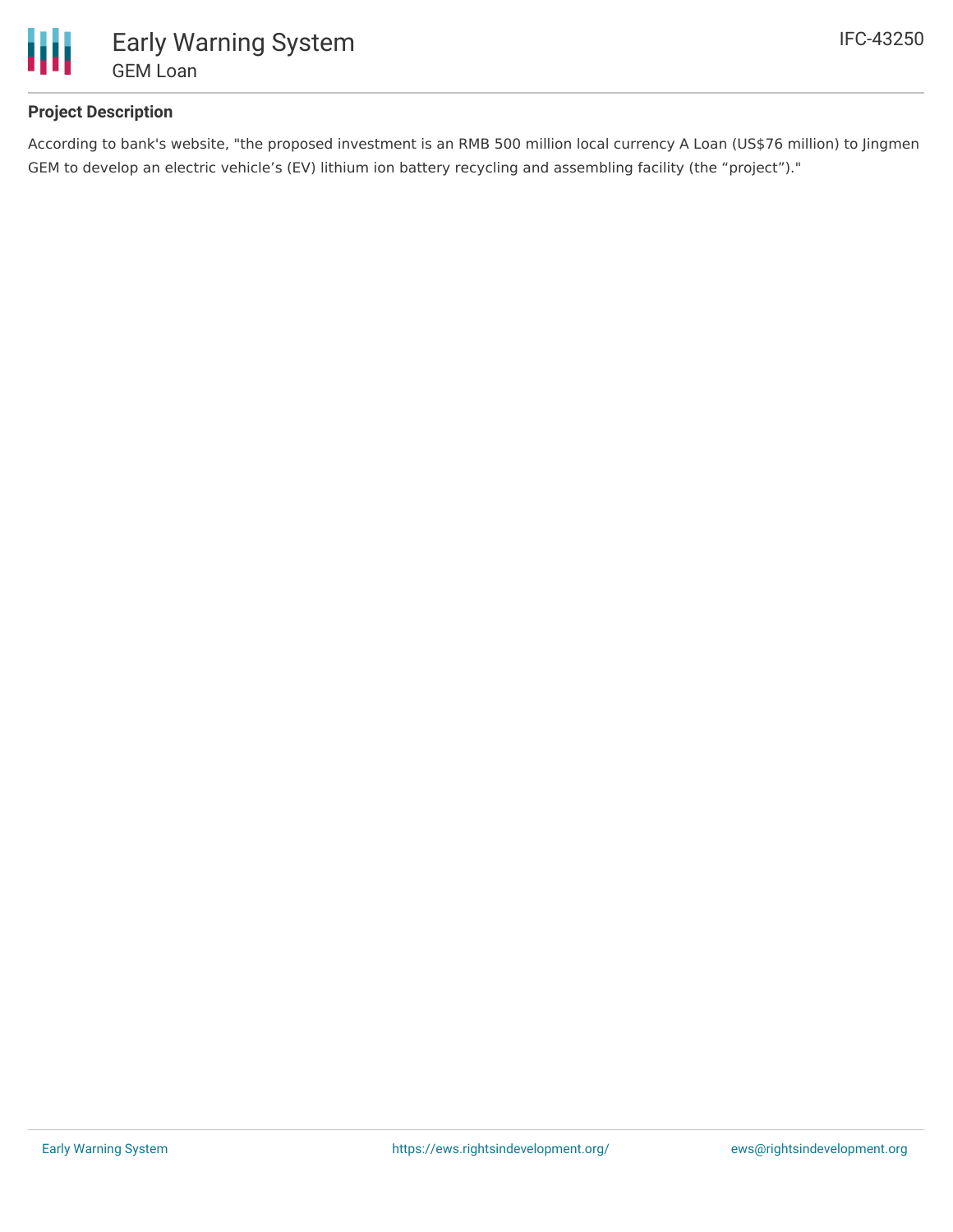

## **Project Description**

According to bank's website, "the proposed investment is an RMB 500 million local currency A Loan (US\$76 million) to Jingmen GEM to develop an electric vehicle's (EV) lithium ion battery recycling and assembling facility (the "project")."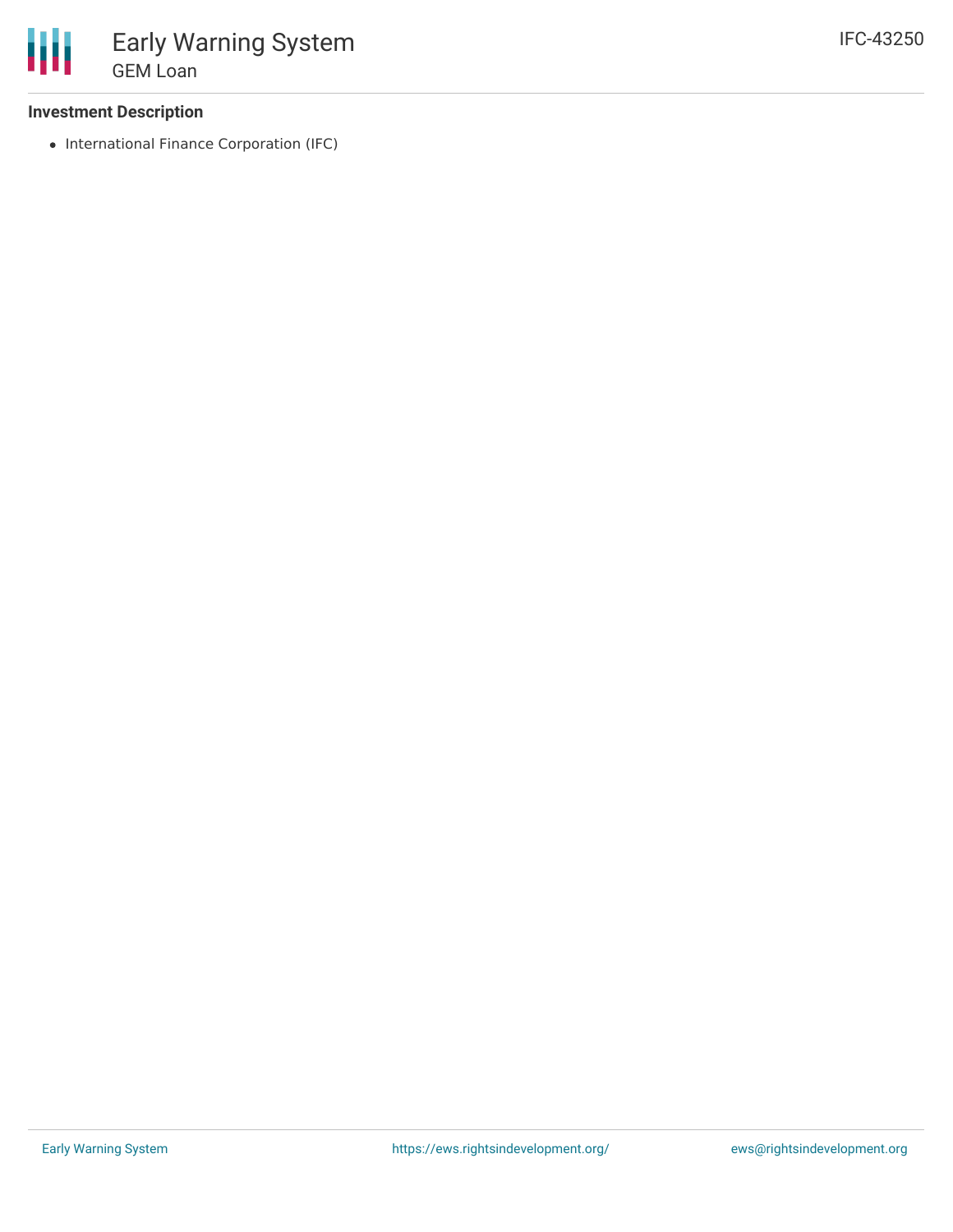### **Investment Description**

• International Finance Corporation (IFC)